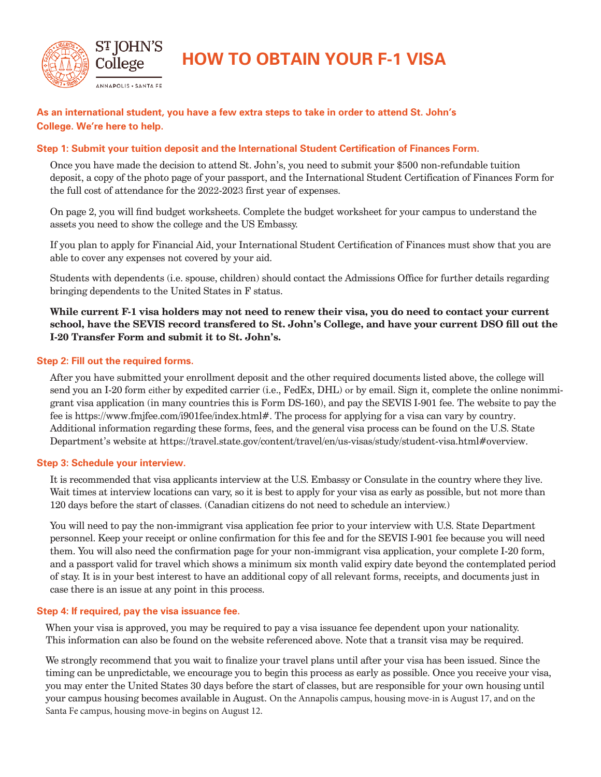

**HOW TO OBTAIN YOUR F-1 VISA**

## **As an international student, you have a few extra steps to take in order to attend St. John's College. We're here to help.**

### **Step 1: Submit your tuition deposit and the International Student Certification of Finances Form.**

Once you have made the decision to attend St. John's, you need to submit your \$500 non-refundable tuition deposit, a copy of the photo page of your passport, and the International Student Certification of Finances Form for the full cost of attendance for the 2022-2023 first year of expenses.

On page 2, you will find budget worksheets. Complete the budget worksheet for your campus to understand the assets you need to show the college and the US Embassy.

If you plan to apply for Financial Aid, your International Student Certification of Finances must show that you are able to cover any expenses not covered by your aid.

Students with dependents (i.e. spouse, children) should contact the Admissions Office for further details regarding bringing dependents to the United States in F status.

**While current F-1 visa holders may not need to renew their visa, you do need to contact your current school, have the SEVIS record transfered to St. John's College, and have your current DSO fill out the I-20 Transfer Form and submit it to St. John's.**

#### **Step 2: Fill out the required forms.**

After you have submitted your enrollment deposit and the other required documents listed above, the college will send you an I-20 form either by expedited carrier (i.e., FedEx, DHL) or by email. Sign it, complete the online nonimmigrant visa application (in many countries this is Form DS-160), and pay the SEVIS I-901 fee. The website to pay the fee is https://www.fmjfee.com/i901fee/index.html#. The process for applying for a visa can vary by country. Additional information regarding these forms, fees, and the general visa process can be found on the U.S. State Department's website at https://travel.state.gov/content/travel/en/us-visas/study/student-visa.html#overview.

#### **Step 3: Schedule your interview.**

It is recommended that visa applicants interview at the U.S. Embassy or Consulate in the country where they live. Wait times at interview locations can vary, so it is best to apply for your visa as early as possible, but not more than 120 days before the start of classes. (Canadian citizens do not need to schedule an interview.)

You will need to pay the non-immigrant visa application fee prior to your interview with U.S. State Department personnel. Keep your receipt or online confirmation for this fee and for the SEVIS I-901 fee because you will need them. You will also need the confirmation page for your non-immigrant visa application, your complete I-20 form, and a passport valid for travel which shows a minimum six month valid expiry date beyond the contemplated period of stay. It is in your best interest to have an additional copy of all relevant forms, receipts, and documents just in case there is an issue at any point in this process.

#### **Step 4: If required, pay the visa issuance fee.**

When your visa is approved, you may be required to pay a visa issuance fee dependent upon your nationality. This information can also be found on the website referenced above. Note that a transit visa may be required.

We strongly recommend that you wait to finalize your travel plans until after your visa has been issued. Since the timing can be unpredictable, we encourage you to begin this process as early as possible. Once you receive your visa, you may enter the United States 30 days before the start of classes, but are responsible for your own housing until your campus housing becomes available in August. On the Annapolis campus, housing move-in is August 17, and on the Santa Fe campus, housing move-in begins on August 12.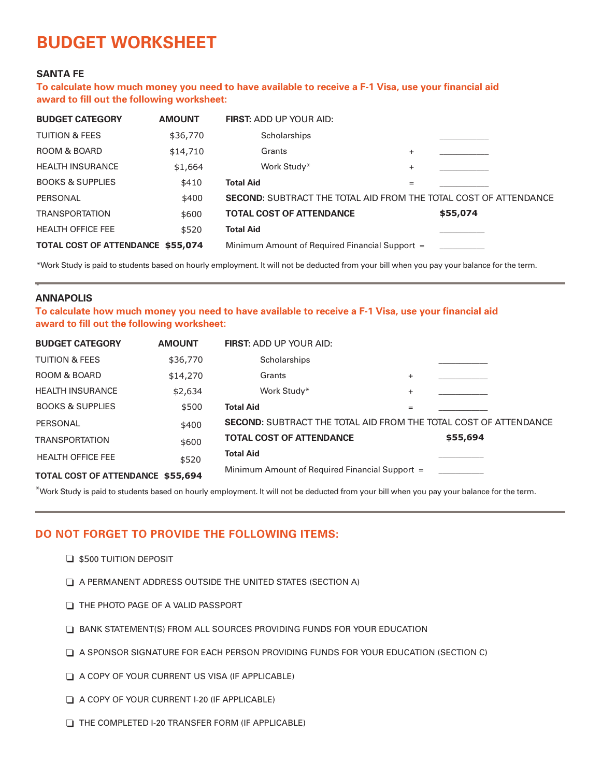# **BUDGET WORKSHEET**

### **SANTA FE**

**To calculate how much money you need to have available to receive a F-1 Visa, use your financial aid award to fill out the following worksheet:**

| <b>BUDGET CATEGORY</b>                   | <b>AMOUNT</b> | <b>FIRST: ADD UP YOUR AID:</b>                                          |        |          |
|------------------------------------------|---------------|-------------------------------------------------------------------------|--------|----------|
| <b>TUITION &amp; FEES</b>                | \$36,770      | Scholarships                                                            |        |          |
| ROOM & BOARD                             | \$14,710      | Grants                                                                  | $^{+}$ |          |
| <b>HEALTH INSURANCE</b>                  | \$1,664       | Work Study*                                                             | $^{+}$ |          |
| <b>BOOKS &amp; SUPPLIES</b>              | \$410         | <b>Total Aid</b>                                                        | $=$    |          |
| PERSONAL                                 | \$400         | <b>SECOND:</b> SUBTRACT THE TOTAL AID FROM THE TOTAL COST OF ATTENDANCE |        |          |
| <b>TRANSPORTATION</b>                    | \$600         | <b>TOTAL COST OF ATTENDANCE</b>                                         |        | \$55,074 |
| <b>HEALTH OFFICE FEE</b>                 | \$520         | <b>Total Aid</b>                                                        |        |          |
| <b>TOTAL COST OF ATTENDANCE \$55,074</b> |               | Minimum Amount of Required Financial Support =                          |        |          |

\*Work Study is paid to students based on hourly employment. It will not be deducted from your bill when you pay your balance for the term.

#### **ANNAPOLIS**

-

**To calculate how much money you need to have available to receive a F-1 Visa, use your financial aid award to fill out the following worksheet:**

| <b>BUDGET CATEGORY</b>           | <b>AMOUNT</b> | <b>FIRST: ADD UP YOUR AID:</b>                                          |           |          |  |
|----------------------------------|---------------|-------------------------------------------------------------------------|-----------|----------|--|
| <b>TUITION &amp; FEES</b>        | \$36,770      | Scholarships                                                            |           |          |  |
| ROOM & BOARD                     | \$14,270      | Grants                                                                  | $\ddot{}$ |          |  |
| <b>HEALTH INSURANCE</b>          | \$2,634       | Work Study*                                                             | $^{+}$    |          |  |
| <b>BOOKS &amp; SUPPLIES</b>      | \$500         | <b>Total Aid</b>                                                        | $=$       |          |  |
| PERSONAL                         | \$400         | <b>SECOND:</b> SUBTRACT THE TOTAL AID FROM THE TOTAL COST OF ATTENDANCE |           |          |  |
| <b>TRANSPORTATION</b>            | \$600         | <b>TOTAL COST OF ATTENDANCE</b>                                         |           | \$55,694 |  |
| <b>HEALTH OFFICE FEE</b>         | \$520         | <b>Total Aid</b>                                                        |           |          |  |
| TOTAL OCCT OF ATTENDANCE AFF COA |               | Minimum Amount of Required Financial Support =                          |           |          |  |

**TOTAL COST OF ATTENDANCE \$55,694**

 $^*$ Work Study is paid to students based on hourly employment. It will not be deducted from your bill when you pay your balance for the term.

## **DO NOT FORGET TO PROVIDE THE FOLLOWING ITEMS:**

- $\Box$  \$500 TUITION DEPOSIT
- $\Box$  A PERMANENT ADDRESS OUTSIDE THE UNITED STATES (SECTION A)
- THE PHOTO PAGE OF A VALID PASSPORT
- $\Box$  BANK STATEMENT(S) FROM ALL SOURCES PROVIDING FUNDS FOR YOUR EDUCATION
- $\Box$  A SPONSOR SIGNATURE FOR EACH PERSON PROVIDING FUNDS FOR YOUR EDUCATION (SECTION C)
- $\Box$  A COPY OF YOUR CURRENT US VISA (IF APPLICABLE)
- o A COPY OF YOUR CURRENT I-20 (IF APPLICABLE)
- THE COMPLETED I-20 TRANSFER FORM (IF APPLICABLE)